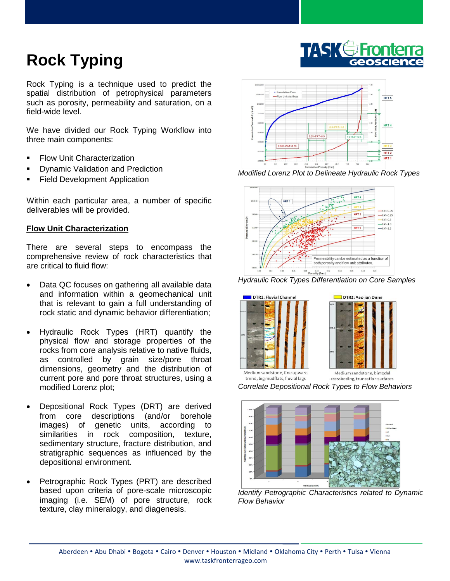## **Rock Typing**

Rock Typing is a technique used to predict the spatial distribution of petrophysical parameters such as porosity, permeability and saturation, on a field-wide level.

We have divided our Rock Typing Workflow into three main components:

- **Flow Unit Characterization**
- Dynamic Validation and Prediction
- Field Development Application

Within each particular area, a number of specific deliverables will be provided.

## **Flow Unit Characterization**

There are several steps to encompass the comprehensive review of rock characteristics that are critical to fluid flow:

- Data QC focuses on gathering all available data and information within a geomechanical unit that is relevant to gain a full understanding of rock static and dynamic behavior differentiation;
- Hydraulic Rock Types (HRT) quantify the physical flow and storage properties of the rocks from core analysis relative to native fluids, as controlled by grain size/pore throat dimensions, geometry and the distribution of current pore and pore throat structures, using a modified Lorenz plot;
- Depositional Rock Types (DRT) are derived from core descriptions (and/or borehole images) of genetic units, according to similarities in rock composition, texture, sedimentary structure, fracture distribution, and stratigraphic sequences as influenced by the depositional environment.
- Petrographic Rock Types (PRT) are described based upon criteria of pore-scale microscopic imaging (i.e. SEM) of pore structure, rock texture, clay mineralogy, and diagenesis.



*Modified Lorenz Plot to Delineate Hydraulic Rock Types* 



 $\overline{a}$ *Hydraulic Rock Types Differentiation on Core Samples*